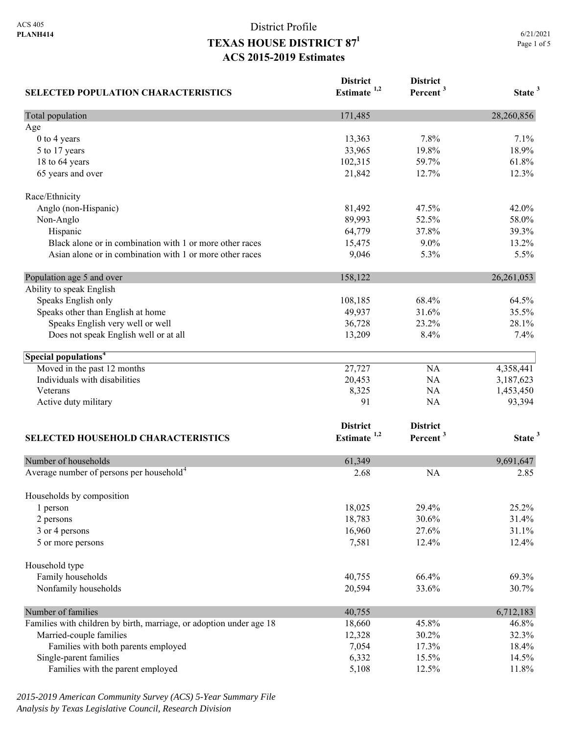| <b>SELECTED POPULATION CHARACTERISTICS</b>                          | <b>District</b><br>Estimate $1,2$ | <b>District</b><br>Percent <sup>3</sup> | State <sup>3</sup> |
|---------------------------------------------------------------------|-----------------------------------|-----------------------------------------|--------------------|
|                                                                     |                                   |                                         |                    |
| Age                                                                 |                                   |                                         |                    |
| 0 to 4 years                                                        | 13,363                            | 7.8%                                    | 7.1%               |
| 5 to 17 years                                                       | 33,965                            | 19.8%                                   | 18.9%              |
| 18 to 64 years                                                      | 102,315                           | 59.7%                                   | 61.8%              |
| 65 years and over                                                   | 21,842                            | 12.7%                                   | 12.3%              |
| Race/Ethnicity                                                      |                                   |                                         |                    |
| Anglo (non-Hispanic)                                                | 81,492                            | 47.5%                                   | 42.0%              |
| Non-Anglo                                                           | 89,993                            | 52.5%                                   | 58.0%              |
| Hispanic                                                            | 64,779                            | 37.8%                                   | 39.3%              |
| Black alone or in combination with 1 or more other races            | 15,475                            | $9.0\%$                                 | 13.2%              |
| Asian alone or in combination with 1 or more other races            | 9,046                             | 5.3%                                    | 5.5%               |
| Population age 5 and over                                           | 158,122                           |                                         | 26, 261, 053       |
| Ability to speak English                                            |                                   |                                         |                    |
| Speaks English only                                                 | 108,185                           | 68.4%                                   | 64.5%              |
| Speaks other than English at home                                   | 49,937                            | 31.6%                                   | 35.5%              |
| Speaks English very well or well                                    | 36,728                            | 23.2%                                   | 28.1%              |
| Does not speak English well or at all                               | 13,209                            | 8.4%                                    | 7.4%               |
| Special populations <sup>4</sup>                                    |                                   |                                         |                    |
| Moved in the past 12 months                                         | 27,727                            | NA                                      | 4,358,441          |
| Individuals with disabilities                                       | 20,453                            | NA                                      | 3,187,623          |
| Veterans                                                            | 8,325                             | NA                                      | 1,453,450          |
| Active duty military                                                | 91                                | <b>NA</b>                               | 93,394             |
|                                                                     | <b>District</b>                   | <b>District</b>                         |                    |
| <b>SELECTED HOUSEHOLD CHARACTERISTICS</b>                           | Estimate <sup>1,2</sup>           | Percent <sup>3</sup>                    | State <sup>3</sup> |
|                                                                     |                                   |                                         |                    |
| Number of households                                                | 61,349                            |                                         | 9,691,647          |
| Average number of persons per household <sup>4</sup>                | 2.68                              | <b>NA</b>                               | 2.85               |
| Households by composition                                           |                                   |                                         |                    |
| 1 person                                                            | 18,025                            | 29.4%                                   | 25.2%              |
| 2 persons                                                           | 18,783                            | 30.6%                                   | 31.4%              |
| 3 or 4 persons                                                      | 16,960                            | 27.6%                                   | 31.1%              |
| 5 or more persons                                                   | 7,581                             | 12.4%                                   | 12.4%              |
| Household type                                                      |                                   |                                         |                    |
| Family households                                                   | 40,755                            | 66.4%                                   | 69.3%              |
| Nonfamily households                                                | 20,594                            | 33.6%                                   | 30.7%              |
| Number of families                                                  | 40,755                            |                                         | 6,712,183          |
| Families with children by birth, marriage, or adoption under age 18 | 18,660                            | 45.8%                                   | 46.8%              |
| Married-couple families                                             | 12,328                            | 30.2%                                   | 32.3%              |
| Families with both parents employed                                 | 7,054                             | 17.3%                                   | 18.4%              |
| Single-parent families                                              | 6,332                             | 15.5%                                   | 14.5%              |
| Families with the parent employed                                   | 5,108                             | 12.5%                                   | 11.8%              |

*2015-2019 American Community Survey (ACS) 5-Year Summary File Analysis by Texas Legislative Council, Research Division*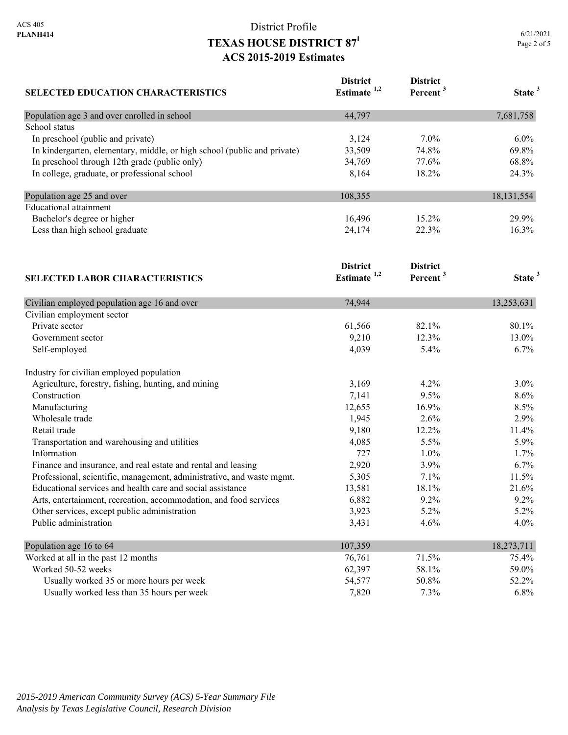| SELECTED EDUCATION CHARACTERISTICS                                       | <b>District</b><br>Estimate <sup>1,2</sup> | <b>District</b><br>Percent <sup>3</sup> | State <sup>3</sup> |
|--------------------------------------------------------------------------|--------------------------------------------|-----------------------------------------|--------------------|
| Population age 3 and over enrolled in school                             | 44,797                                     |                                         | 7,681,758          |
| School status                                                            |                                            |                                         |                    |
| In preschool (public and private)                                        | 3,124                                      | $7.0\%$                                 | $6.0\%$            |
| In kindergarten, elementary, middle, or high school (public and private) | 33,509                                     | 74.8%                                   | 69.8%              |
| In preschool through 12th grade (public only)                            | 34,769                                     | 77.6%                                   | 68.8%              |
| In college, graduate, or professional school                             | 8,164                                      | 18.2%                                   | 24.3%              |
| Population age 25 and over                                               | 108,355                                    |                                         | 18, 131, 554       |
| <b>Educational attainment</b>                                            |                                            |                                         |                    |
| Bachelor's degree or higher                                              | 16,496                                     | 15.2%                                   | 29.9%              |
| Less than high school graduate                                           | 24,174                                     | 22.3%                                   | 16.3%              |
|                                                                          | <b>District</b>                            | <b>District</b>                         |                    |
| <b>SELECTED LABOR CHARACTERISTICS</b>                                    | Estimate <sup>1,2</sup>                    | Percent <sup>3</sup>                    | State <sup>3</sup> |
| Civilian employed population age 16 and over                             | 74,944                                     |                                         | 13,253,631         |
| Civilian employment sector                                               |                                            |                                         |                    |
| Private sector                                                           | 61,566                                     | 82.1%                                   | 80.1%              |
| Government sector                                                        | 9,210                                      | 12.3%                                   | 13.0%              |
| Self-employed                                                            | 4,039                                      | 5.4%                                    | 6.7%               |
| Industry for civilian employed population                                |                                            |                                         |                    |
| Agriculture, forestry, fishing, hunting, and mining                      | 3,169                                      | 4.2%                                    | 3.0%               |
| Construction                                                             | 7,141                                      | 9.5%                                    | 8.6%               |
| Manufacturing                                                            | 12,655                                     | 16.9%                                   | 8.5%               |
| Wholesale trade                                                          | 1,945                                      | 2.6%                                    | 2.9%               |
| Retail trade                                                             | 9,180                                      | 12.2%                                   | 11.4%              |
| Transportation and warehousing and utilities                             | 4,085                                      | 5.5%                                    | 5.9%               |
| Information                                                              | 727                                        | 1.0%                                    | 1.7%               |
| Finance and insurance, and real estate and rental and leasing            | 2,920                                      | 3.9%                                    | 6.7%               |
| Professional, scientific, management, administrative, and waste mgmt.    | 5,305                                      | 7.1%                                    | 11.5%              |
| Educational services and health care and social assistance               | 13,581                                     | 18.1%                                   | 21.6%              |
| Arts, entertainment, recreation, accommodation, and food services        | 6,882                                      | 9.2%                                    | 9.2%               |
| Other services, except public administration                             | 3,923                                      | 5.2%                                    | 5.2%               |
| Public administration                                                    | 3,431                                      | 4.6%                                    | 4.0%               |
| Population age 16 to 64                                                  | 107,359                                    |                                         | 18,273,711         |
| Worked at all in the past 12 months                                      | 76,761                                     | 71.5%                                   | 75.4%              |
| Worked 50-52 weeks                                                       | 62,397                                     | 58.1%                                   | 59.0%              |
| Usually worked 35 or more hours per week                                 | 54,577                                     | 50.8%                                   | 52.2%              |
| Usually worked less than 35 hours per week                               | 7,820                                      | 7.3%                                    | 6.8%               |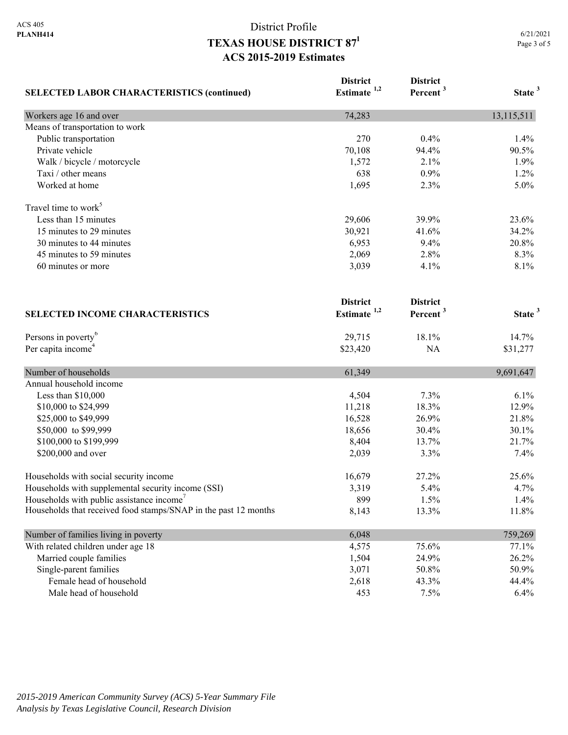| <b>SELECTED LABOR CHARACTERISTICS (continued)</b>               | <b>District</b><br>Estimate <sup>1,2</sup> | <b>District</b><br>Percent <sup>3</sup> | State <sup>3</sup> |
|-----------------------------------------------------------------|--------------------------------------------|-----------------------------------------|--------------------|
| Workers age 16 and over                                         | 74,283                                     |                                         | 13,115,511         |
| Means of transportation to work                                 |                                            |                                         |                    |
| Public transportation                                           | 270                                        | 0.4%                                    | 1.4%               |
| Private vehicle                                                 | 70,108                                     | 94.4%                                   | 90.5%              |
| Walk / bicycle / motorcycle                                     | 1,572                                      | 2.1%                                    | 1.9%               |
| Taxi / other means                                              | 638                                        | 0.9%                                    | 1.2%               |
| Worked at home                                                  | 1,695                                      | 2.3%                                    | 5.0%               |
| Travel time to work <sup>5</sup>                                |                                            |                                         |                    |
| Less than 15 minutes                                            | 29,606                                     | 39.9%                                   | 23.6%              |
| 15 minutes to 29 minutes                                        | 30,921                                     | 41.6%                                   | 34.2%              |
| 30 minutes to 44 minutes                                        | 6,953                                      | 9.4%                                    | 20.8%              |
| 45 minutes to 59 minutes                                        | 2,069                                      | 2.8%                                    | 8.3%               |
| 60 minutes or more                                              | 3,039                                      | 4.1%                                    | 8.1%               |
| <b>SELECTED INCOME CHARACTERISTICS</b>                          | <b>District</b><br>Estimate <sup>1,2</sup> | <b>District</b><br>Percent <sup>3</sup> | State <sup>3</sup> |
| Persons in poverty <sup>6</sup>                                 | 29,715                                     | 18.1%                                   | 14.7%              |
| Per capita income <sup>4</sup>                                  | \$23,420                                   | NA                                      | \$31,277           |
| Number of households                                            | 61,349                                     |                                         | 9,691,647          |
| Annual household income                                         |                                            |                                         |                    |
| Less than \$10,000                                              | 4,504                                      | 7.3%                                    | 6.1%               |
| \$10,000 to \$24,999                                            | 11,218                                     | 18.3%                                   | 12.9%              |
| \$25,000 to \$49,999                                            | 16,528                                     | 26.9%                                   | 21.8%              |
| \$50,000 to \$99,999                                            | 18,656                                     | 30.4%                                   | 30.1%              |
| \$100,000 to \$199,999                                          | 8,404                                      | 13.7%                                   | 21.7%              |
| \$200,000 and over                                              | 2,039                                      | 3.3%                                    | 7.4%               |
| Households with social security income                          | 16,679                                     | 27.2%                                   | 25.6%              |
| Households with supplemental security income (SSI)              | 3,319                                      | 5.4%                                    | 4.7%               |
| Households with public assistance income'                       | 899                                        | 1.5%                                    | 1.4%               |
| Households that received food stamps/SNAP in the past 12 months | 8,143                                      | 13.3%                                   | 11.8%              |
| Number of families living in poverty                            | 6,048                                      |                                         | 759,269            |
| With related children under age 18                              | 4,575                                      | 75.6%                                   | 77.1%              |
| Married couple families                                         | 1,504                                      | 24.9%                                   | 26.2%              |
| Single-parent families                                          | 3,071                                      | 50.8%                                   | 50.9%              |
| Female head of household                                        | 2,618                                      | 43.3%                                   | 44.4%              |
| Male head of household                                          | 453                                        | 7.5%                                    | 6.4%               |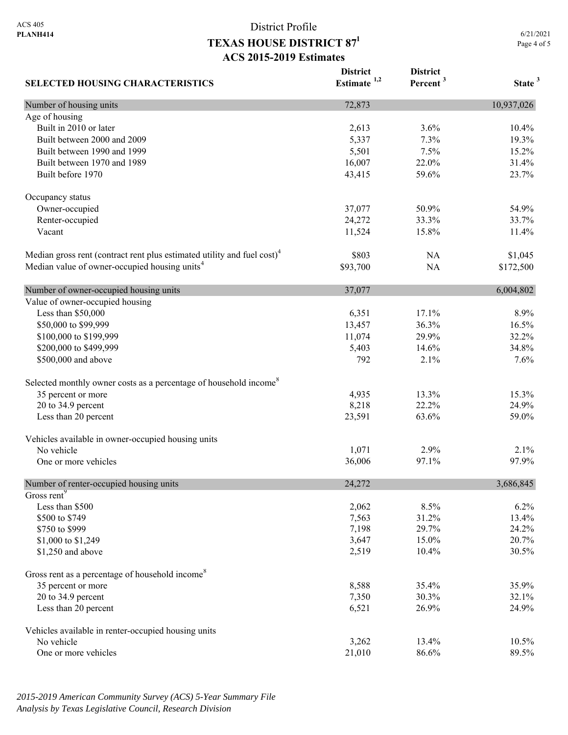**SELECTED HOUSING CHARACTERISTICS District Estimate 1,2 District Percent <sup>3</sup> State <sup>3</sup>** Number of housing units 10,937,026 Age of housing Built in 2010 or later 10.4% 10.4% 10.4% 10.4% 10.4% 10.4% 10.4% 10.4% 10.4% 10.4% 10.5 mm Built between 2000 and 2009 5,337 7.3% 19.3% 19.3% Built between 1990 and 1999 **5,501** 5,501 7.5% 15.2% Built between 1970 and 1989 16,007 16,007 22.0% 31.4% Built before 1970 23.7% 23.7% Occupancy status Owner-occupied 37,077 50.9% 54.9% Renter-occupied 24,272 33.3% 33.7% Vacant 11,524 15.8% 11.4% Median gross rent (contract rent plus estimated utility and fuel cost)<sup>4</sup> \$803 NA \$1,045 Median value of owner-occupied housing units<sup>4</sup> \$93,700 NA \$172,500 Number of owner-occupied housing units 37,077 6,004,802 Value of owner-occupied housing Less than \$50,000 6,351 17.1% 8.9% \$50,000 to \$99,999 13,457 36.3% 16.5% 16.5% \$100,000 to \$199,999 11,074 29.9% 32.2% \$200,000 to \$499,999 34.8% 36 and 5,403 14.6% 34.8% \$500,000 and above 792 2.1% 7.6% Selected monthly owner costs as a percentage of household income<sup>8</sup> 35 percent or more 15.3% 13.3% 13.3% 13.3% 15.3% 20 to 34.9 percent 24.9% 24.9% 26.218 22.2% 24.9% Less than 20 percent 23,591 63.6% 59.0% 59.0% Vehicles available in owner-occupied housing units No vehicle  $1,071$   $2.9\%$   $2.1\%$ One or more vehicles 97.9% 97.9% 97.9% Number of renter-occupied housing units 24,272 3,686,845 Gross rent<sup>9</sup> Less than \$500 2,062 8.5% 6.2% \$500 to \$749 13.4% 13.4% 13.4% 13.4% 13.4% 13.4% 13.4% 13.4% 13.4% 13.4% 13.4% 13.4% 13.4% 13.4% 13.4% 13.4% 13.4%  $\frac{$750 \text{ to } $999} \quad 24.2\%$ \$1,000 to \$1,249 3,647 15.0% 20.7% \$1,250 and above 30.5% 30.5% 30.5% Gross rent as a percentage of household income<sup>8</sup> 35 percent or more 35.9% 35.9% 35.9% 20 to 34.9 percent 32.1% 32.1% 32.1% Less than 20 percent 24.9% 24.9% 26.521 26.9% 24.9% Vehicles available in renter-occupied housing units No vehicle 10.5% 10.5% 10.5% 10.5% 10.5% 10.5% 10.5% 10.5% 10.5% 10.5% 10.5% 10.5% 10.5% 10.5% 10.5% 10.5% 10.5% One or more vehicles 89.5% 89.5%